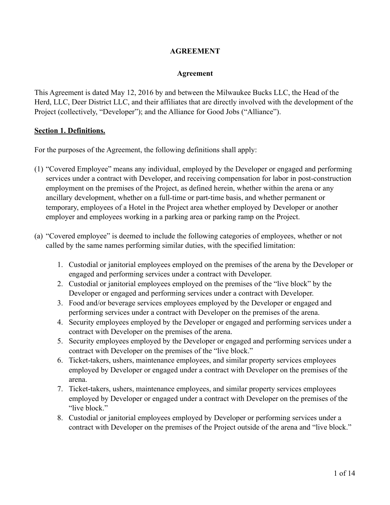### **AGREEMENT**

#### **Agreement**

This Agreement is dated May 12, 2016 by and between the Milwaukee Bucks LLC, the Head of the Herd, LLC, Deer District LLC, and their affiliates that are directly involved with the development of the Project (collectively, "Developer"); and the Alliance for Good Jobs ("Alliance").

#### **Section 1. Definitions.**

For the purposes of the Agreement, the following definitions shall apply:

- (1) "Covered Employee" means any individual, employed by the Developer or engaged and performing services under a contract with Developer, and receiving compensation for labor in post-construction employment on the premises of the Project, as defined herein, whether within the arena or any ancillary development, whether on a full-time or part-time basis, and whether permanent or temporary, employees of a Hotel in the Project area whether employed by Developer or another employer and employees working in a parking area or parking ramp on the Project.
- (a) "Covered employee" is deemed to include the following categories of employees, whether or not called by the same names performing similar duties, with the specified limitation:
	- 1. Custodial or janitorial employees employed on the premises of the arena by the Developer or engaged and performing services under a contract with Developer.
	- 2. Custodial or janitorial employees employed on the premises of the "live block" by the Developer or engaged and performing services under a contract with Developer.
	- 3. Food and/or beverage services employees employed by the Developer or engaged and performing services under a contract with Developer on the premises of the arena.
	- 4. Security employees employed by the Developer or engaged and performing services under a contract with Developer on the premises of the arena.
	- 5. Security employees employed by the Developer or engaged and performing services under a contract with Developer on the premises of the "live block."
	- 6. Ticket-takers, ushers, maintenance employees, and similar property services employees employed by Developer or engaged under a contract with Developer on the premises of the arena.
	- 7. Ticket-takers, ushers, maintenance employees, and similar property services employees employed by Developer or engaged under a contract with Developer on the premises of the "live block."
	- 8. Custodial or janitorial employees employed by Developer or performing services under a contract with Developer on the premises of the Project outside of the arena and "live block."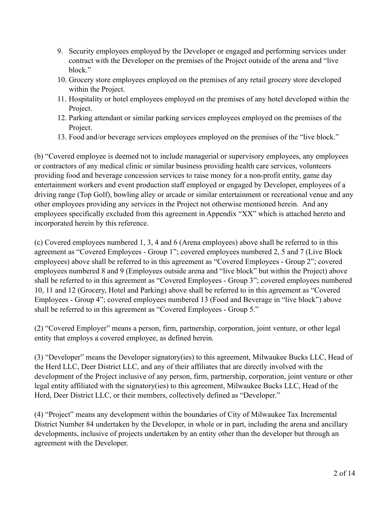- 9. Security employees employed by the Developer or engaged and performing services under contract with the Developer on the premises of the Project outside of the arena and "live block."
- 10. Grocery store employees employed on the premises of any retail grocery store developed within the Project.
- 11. Hospitality or hotel employees employed on the premises of any hotel developed within the Project.
- 12. Parking attendant or similar parking services employees employed on the premises of the Project.
- 13. Food and/or beverage services employees employed on the premises of the "live block."

(b) "Covered employee is deemed not to include managerial or supervisory employees, any employees or contractors of any medical clinic or similar business providing health care services, volunteers providing food and beverage concession services to raise money for a non-profit entity, game day entertainment workers and event production staff employed or engaged by Developer, employees of a driving range (Top Golf), bowling alley or arcade or similar entertainment or recreational venue and any other employees providing any services in the Project not otherwise mentioned herein. And any employees specifically excluded from this agreement in Appendix "XX" which is attached hereto and incorporated herein by this reference.

(c) Covered employees numbered 1, 3, 4 and 6 (Arena employees) above shall be referred to in this agreement as "Covered Employees - Group 1"; covered employees numbered 2, 5 and 7 (Live Block employees) above shall be referred to in this agreement as "Covered Employees - Group 2"; covered employees numbered 8 and 9 (Employees outside arena and "live block" but within the Project) above shall be referred to in this agreement as "Covered Employees - Group 3"; covered employees numbered 10, 11 and 12 (Grocery, Hotel and Parking) above shall be referred to in this agreement as "Covered Employees - Group 4"; covered employees numbered 13 (Food and Beverage in "live block") above shall be referred to in this agreement as "Covered Employees - Group 5."

(2) "Covered Employer" means a person, firm, partnership, corporation, joint venture, or other legal entity that employs a covered employee, as defined herein.

(3) "Developer" means the Developer signatory(ies) to this agreement, Milwaukee Bucks LLC, Head of the Herd LLC, Deer District LLC, and any of their affiliates that are directly involved with the development of the Project inclusive of any person, firm, partnership, corporation, joint venture or other legal entity affiliated with the signatory(ies) to this agreement, Milwaukee Bucks LLC, Head of the Herd, Deer District LLC, or their members, collectively defined as "Developer."

(4) "Project" means any development within the boundaries of City of Milwaukee Tax Incremental District Number 84 undertaken by the Developer, in whole or in part, including the arena and ancillary developments, inclusive of projects undertaken by an entity other than the developer but through an agreement with the Developer.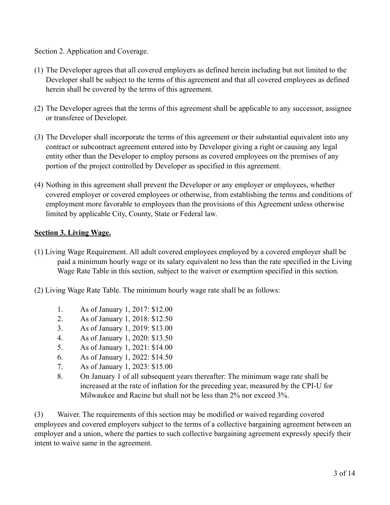Section 2. Application and Coverage.

- (1) The Developer agrees that all covered employers as defined herein including but not limited to the Developer shall be subject to the terms of this agreement and that all covered employees as defined herein shall be covered by the terms of this agreement.
- (2) The Developer agrees that the terms of this agreement shall be applicable to any successor, assignee or transferee of Developer.
- (3) The Developer shall incorporate the terms of this agreement or their substantial equivalent into any contract or subcontract agreement entered into by Developer giving a right or causing any legal entity other than the Developer to employ persons as covered employees on the premises of any portion of the project controlled by Developer as specified in this agreement.
- (4) Nothing in this agreement shall prevent the Developer or any employer or employees, whether covered employer or covered employees or otherwise, from establishing the terms and conditions of employment more favorable to employees than the provisions of this Agreement unless otherwise limited by applicable City, County, State or Federal law.

## **Section 3. Living Wage.**

- (1) Living Wage Requirement. All adult covered employees employed by a covered employer shall be paid a minimum hourly wage or its salary equivalent no less than the rate specified in the Living Wage Rate Table in this section, subject to the waiver or exemption specified in this section.
- (2) Living Wage Rate Table. The minimum hourly wage rate shall be as follows:
	- 1. As of January 1, 2017: \$12.00
	- 2. As of January 1, 2018: \$12.50
	- 3. As of January 1, 2019: \$13.00
	- 4. As of January 1, 2020: \$13.50
	- 5. As of January 1, 2021: \$14.00
	- 6. As of January 1, 2022: \$14.50
	- 7. As of January 1, 2023: \$15.00
	- 8. On January 1 of all subsequent years thereafter: The minimum wage rate shall be increased at the rate of inflation for the preceding year, measured by the CPI-U for Milwaukee and Racine but shall not be less than 2% nor exceed 3%.

(3) Waiver. The requirements of this section may be modified or waived regarding covered employees and covered employers subject to the terms of a collective bargaining agreement between an employer and a union, where the parties to such collective bargaining agreement expressly specify their intent to waive same in the agreement.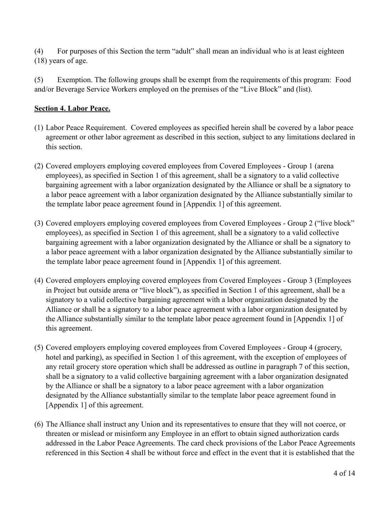(4) For purposes of this Section the term "adult" shall mean an individual who is at least eighteen (18) years of age.

(5) Exemption. The following groups shall be exempt from the requirements of this program: Food and/or Beverage Service Workers employed on the premises of the "Live Block" and (list).

# **Section 4. Labor Peace.**

- (1) Labor Peace Requirement. Covered employees as specified herein shall be covered by a labor peace agreement or other labor agreement as described in this section, subject to any limitations declared in this section.
- (2) Covered employers employing covered employees from Covered Employees Group 1 (arena employees), as specified in Section 1 of this agreement, shall be a signatory to a valid collective bargaining agreement with a labor organization designated by the Alliance or shall be a signatory to a labor peace agreement with a labor organization designated by the Alliance substantially similar to the template labor peace agreement found in [Appendix 1] of this agreement.
- (3) Covered employers employing covered employees from Covered Employees Group 2 ("live block" employees), as specified in Section 1 of this agreement, shall be a signatory to a valid collective bargaining agreement with a labor organization designated by the Alliance or shall be a signatory to a labor peace agreement with a labor organization designated by the Alliance substantially similar to the template labor peace agreement found in [Appendix 1] of this agreement.
- (4) Covered employers employing covered employees from Covered Employees Group 3 (Employees in Project but outside arena or "live block"), as specified in Section 1 of this agreement, shall be a signatory to a valid collective bargaining agreement with a labor organization designated by the Alliance or shall be a signatory to a labor peace agreement with a labor organization designated by the Alliance substantially similar to the template labor peace agreement found in [Appendix 1] of this agreement.
- (5) Covered employers employing covered employees from Covered Employees Group 4 (grocery, hotel and parking), as specified in Section 1 of this agreement, with the exception of employees of any retail grocery store operation which shall be addressed as outline in paragraph 7 of this section, shall be a signatory to a valid collective bargaining agreement with a labor organization designated by the Alliance or shall be a signatory to a labor peace agreement with a labor organization designated by the Alliance substantially similar to the template labor peace agreement found in [Appendix 1] of this agreement.
- (6) The Alliance shall instruct any Union and its representatives to ensure that they will not coerce, or threaten or mislead or misinform any Employee in an effort to obtain signed authorization cards addressed in the Labor Peace Agreements. The card check provisions of the Labor Peace Agreements referenced in this Section 4 shall be without force and effect in the event that it is established that the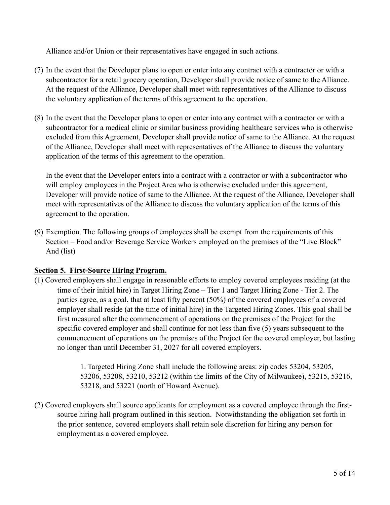Alliance and/or Union or their representatives have engaged in such actions.

- (7) In the event that the Developer plans to open or enter into any contract with a contractor or with a subcontractor for a retail grocery operation, Developer shall provide notice of same to the Alliance. At the request of the Alliance, Developer shall meet with representatives of the Alliance to discuss the voluntary application of the terms of this agreement to the operation.
- (8) In the event that the Developer plans to open or enter into any contract with a contractor or with a subcontractor for a medical clinic or similar business providing healthcare services who is otherwise excluded from this Agreement, Developer shall provide notice of same to the Alliance. At the request of the Alliance, Developer shall meet with representatives of the Alliance to discuss the voluntary application of the terms of this agreement to the operation.

In the event that the Developer enters into a contract with a contractor or with a subcontractor who will employ employees in the Project Area who is otherwise excluded under this agreement, Developer will provide notice of same to the Alliance. At the request of the Alliance, Developer shall meet with representatives of the Alliance to discuss the voluntary application of the terms of this agreement to the operation.

(9) Exemption. The following groups of employees shall be exempt from the requirements of this Section – Food and/or Beverage Service Workers employed on the premises of the "Live Block" And (list)

## **Section 5. First-Source Hiring Program.**

(1) Covered employers shall engage in reasonable efforts to employ covered employees residing (at the time of their initial hire) in Target Hiring Zone – Tier 1 and Target Hiring Zone - Tier 2. The parties agree, as a goal, that at least fifty percent (50%) of the covered employees of a covered employer shall reside (at the time of initial hire) in the Targeted Hiring Zones. This goal shall be first measured after the commencement of operations on the premises of the Project for the specific covered employer and shall continue for not less than five (5) years subsequent to the commencement of operations on the premises of the Project for the covered employer, but lasting no longer than until December 31, 2027 for all covered employers.

> 1. Targeted Hiring Zone shall include the following areas: zip codes 53204, 53205, 53206, 53208, 53210, 53212 (within the limits of the City of Milwaukee), 53215, 53216, 53218, and 53221 (north of Howard Avenue).

(2) Covered employers shall source applicants for employment as a covered employee through the firstsource hiring hall program outlined in this section. Notwithstanding the obligation set forth in the prior sentence, covered employers shall retain sole discretion for hiring any person for employment as a covered employee.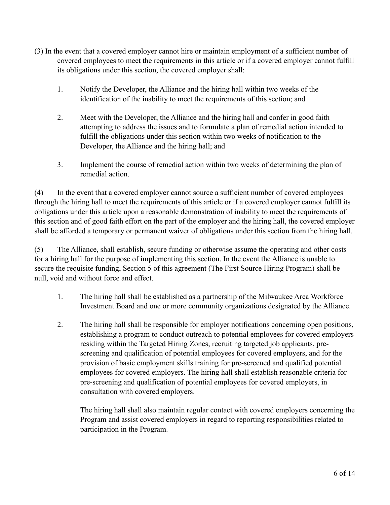- (3) In the event that a covered employer cannot hire or maintain employment of a sufficient number of covered employees to meet the requirements in this article or if a covered employer cannot fulfill its obligations under this section, the covered employer shall:
	- 1. Notify the Developer, the Alliance and the hiring hall within two weeks of the identification of the inability to meet the requirements of this section; and
	- 2. Meet with the Developer, the Alliance and the hiring hall and confer in good faith attempting to address the issues and to formulate a plan of remedial action intended to fulfill the obligations under this section within two weeks of notification to the Developer, the Alliance and the hiring hall; and
	- 3. Implement the course of remedial action within two weeks of determining the plan of remedial action.

(4) In the event that a covered employer cannot source a sufficient number of covered employees through the hiring hall to meet the requirements of this article or if a covered employer cannot fulfill its obligations under this article upon a reasonable demonstration of inability to meet the requirements of this section and of good faith effort on the part of the employer and the hiring hall, the covered employer shall be afforded a temporary or permanent waiver of obligations under this section from the hiring hall.

(5) The Alliance, shall establish, secure funding or otherwise assume the operating and other costs for a hiring hall for the purpose of implementing this section. In the event the Alliance is unable to secure the requisite funding, Section 5 of this agreement (The First Source Hiring Program) shall be null, void and without force and effect.

- 1. The hiring hall shall be established as a partnership of the Milwaukee Area Workforce Investment Board and one or more community organizations designated by the Alliance.
- 2. The hiring hall shall be responsible for employer notifications concerning open positions, establishing a program to conduct outreach to potential employees for covered employers residing within the Targeted Hiring Zones, recruiting targeted job applicants, prescreening and qualification of potential employees for covered employers, and for the provision of basic employment skills training for pre-screened and qualified potential employees for covered employers. The hiring hall shall establish reasonable criteria for pre-screening and qualification of potential employees for covered employers, in consultation with covered employers.

The hiring hall shall also maintain regular contact with covered employers concerning the Program and assist covered employers in regard to reporting responsibilities related to participation in the Program.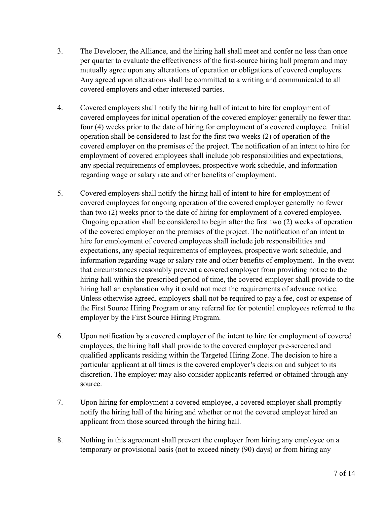- 3. The Developer, the Alliance, and the hiring hall shall meet and confer no less than once per quarter to evaluate the effectiveness of the first-source hiring hall program and may mutually agree upon any alterations of operation or obligations of covered employers. Any agreed upon alterations shall be committed to a writing and communicated to all covered employers and other interested parties.
- 4. Covered employers shall notify the hiring hall of intent to hire for employment of covered employees for initial operation of the covered employer generally no fewer than four (4) weeks prior to the date of hiring for employment of a covered employee. Initial operation shall be considered to last for the first two weeks (2) of operation of the covered employer on the premises of the project. The notification of an intent to hire for employment of covered employees shall include job responsibilities and expectations, any special requirements of employees, prospective work schedule, and information regarding wage or salary rate and other benefits of employment.
- 5. Covered employers shall notify the hiring hall of intent to hire for employment of covered employees for ongoing operation of the covered employer generally no fewer than two (2) weeks prior to the date of hiring for employment of a covered employee. Ongoing operation shall be considered to begin after the first two (2) weeks of operation of the covered employer on the premises of the project. The notification of an intent to hire for employment of covered employees shall include job responsibilities and expectations, any special requirements of employees, prospective work schedule, and information regarding wage or salary rate and other benefits of employment. In the event that circumstances reasonably prevent a covered employer from providing notice to the hiring hall within the prescribed period of time, the covered employer shall provide to the hiring hall an explanation why it could not meet the requirements of advance notice. Unless otherwise agreed, employers shall not be required to pay a fee, cost or expense of the First Source Hiring Program or any referral fee for potential employees referred to the employer by the First Source Hiring Program.
- 6. Upon notification by a covered employer of the intent to hire for employment of covered employees, the hiring hall shall provide to the covered employer pre-screened and qualified applicants residing within the Targeted Hiring Zone. The decision to hire a particular applicant at all times is the covered employer's decision and subject to its discretion. The employer may also consider applicants referred or obtained through any source.
- 7. Upon hiring for employment a covered employee, a covered employer shall promptly notify the hiring hall of the hiring and whether or not the covered employer hired an applicant from those sourced through the hiring hall.
- 8. Nothing in this agreement shall prevent the employer from hiring any employee on a temporary or provisional basis (not to exceed ninety (90) days) or from hiring any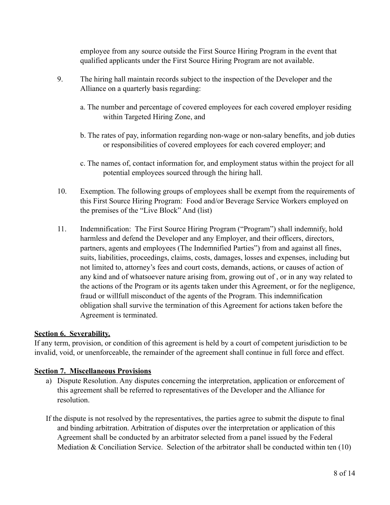employee from any source outside the First Source Hiring Program in the event that qualified applicants under the First Source Hiring Program are not available.

- 9. The hiring hall maintain records subject to the inspection of the Developer and the Alliance on a quarterly basis regarding:
	- a. The number and percentage of covered employees for each covered employer residing within Targeted Hiring Zone, and
	- b. The rates of pay, information regarding non-wage or non-salary benefits, and job duties or responsibilities of covered employees for each covered employer; and
	- c. The names of, contact information for, and employment status within the project for all potential employees sourced through the hiring hall.
- 10. Exemption. The following groups of employees shall be exempt from the requirements of this First Source Hiring Program: Food and/or Beverage Service Workers employed on the premises of the "Live Block" And (list)
- 11. Indemnification: The First Source Hiring Program ("Program") shall indemnify, hold harmless and defend the Developer and any Employer, and their officers, directors, partners, agents and employees (The Indemnified Parties") from and against all fines, suits, liabilities, proceedings, claims, costs, damages, losses and expenses, including but not limited to, attorney's fees and court costs, demands, actions, or causes of action of any kind and of whatsoever nature arising from, growing out of , or in any way related to the actions of the Program or its agents taken under this Agreement, or for the negligence, fraud or willfull misconduct of the agents of the Program. This indemnification obligation shall survive the termination of this Agreement for actions taken before the Agreement is terminated.

### **Section 6. Severability.**

If any term, provision, or condition of this agreement is held by a court of competent jurisdiction to be invalid, void, or unenforceable, the remainder of the agreement shall continue in full force and effect.

### **Section 7. Miscellaneous Provisions**

- a) Dispute Resolution. Any disputes concerning the interpretation, application or enforcement of this agreement shall be referred to representatives of the Developer and the Alliance for resolution.
- If the dispute is not resolved by the representatives, the parties agree to submit the dispute to final and binding arbitration. Arbitration of disputes over the interpretation or application of this Agreement shall be conducted by an arbitrator selected from a panel issued by the Federal Mediation & Conciliation Service. Selection of the arbitrator shall be conducted within ten (10)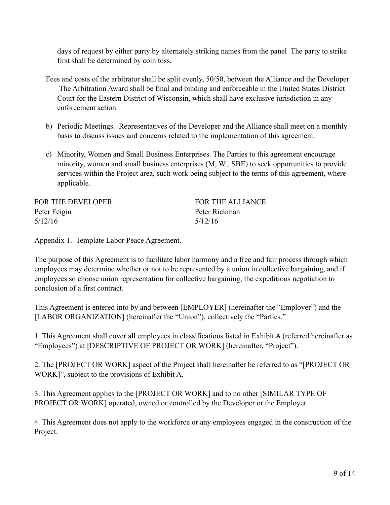days of request by either party by alternately striking names from the panel The party to strike first shall be determined by coin toss.

- Fees and costs of the arbitrator shall be split evenly, 50/50, between the Alliance and the Developer . The Arbitration Award shall be final and binding and enforceable in the United States District Court for the Eastern District of Wisconsin, which shall have exclusive jurisdiction in any enforcement action.
- b) Periodic Meetings. Representatives of the Developer and the Alliance shall meet on a monthly basis to discuss issues and concerns related to the implementation of this agreement.
- c) Minority, Women and Small Business Enterprises. The Parties to this agreement encourage minority, women and small business enterprises (M, W , SBE) to seek opportunities to provide services within the Project area, such work being subject to the terms of this agreement, where applicable.

| FOR THE DEVELOPER | <b>FOR THE ALLIANCE</b> |
|-------------------|-------------------------|
| Peter Feigin      | Peter Rickman           |
| 5/12/16           | 5/12/16                 |

Appendix 1. Template Labor Peace Agreement.

The purpose of this Agreement is to facilitate labor harmony and a free and fair process through which employees may determine whether or not to be represented by a union in collective bargaining, and if employees so choose union representation for collective bargaining, the expeditious negotiation to conclusion of a first contract.

This Agreement is entered into by and between [EMPLOYER] (hereinafter the "Employer") and the [LABOR ORGANIZATION] (hereinafter the "Union"), collectively the "Parties."

1. This Agreement shall cover all employees in classifications listed in Exhibit A (referred hereinafter as "Employees") at [DESCRIPTIVE OF PROJECT OR WORK] (hereinafter, "Project").

2. The [PROJECT OR WORK] aspect of the Project shall hereinafter be referred to as "[PROJECT OR WORK]", subject to the provisions of Exhibit A.

3. This Agreement applies to the [PROJECT OR WORK] and to no other [SIMILAR TYPE OF PROJECT OR WORK] operated, owned or controlled by the Developer or the Employer.

4. This Agreement does not apply to the workforce or any employees engaged in the construction of the Project.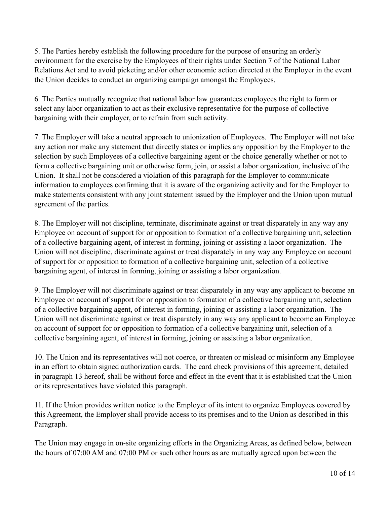5. The Parties hereby establish the following procedure for the purpose of ensuring an orderly environment for the exercise by the Employees of their rights under Section 7 of the National Labor Relations Act and to avoid picketing and/or other economic action directed at the Employer in the event the Union decides to conduct an organizing campaign amongst the Employees.

6. The Parties mutually recognize that national labor law guarantees employees the right to form or select any labor organization to act as their exclusive representative for the purpose of collective bargaining with their employer, or to refrain from such activity.

7. The Employer will take a neutral approach to unionization of Employees. The Employer will not take any action nor make any statement that directly states or implies any opposition by the Employer to the selection by such Employees of a collective bargaining agent or the choice generally whether or not to form a collective bargaining unit or otherwise form, join, or assist a labor organization, inclusive of the Union. It shall not be considered a violation of this paragraph for the Employer to communicate information to employees confirming that it is aware of the organizing activity and for the Employer to make statements consistent with any joint statement issued by the Employer and the Union upon mutual agreement of the parties.

8. The Employer will not discipline, terminate, discriminate against or treat disparately in any way any Employee on account of support for or opposition to formation of a collective bargaining unit, selection of a collective bargaining agent, of interest in forming, joining or assisting a labor organization. The Union will not discipline, discriminate against or treat disparately in any way any Employee on account of support for or opposition to formation of a collective bargaining unit, selection of a collective bargaining agent, of interest in forming, joining or assisting a labor organization.

9. The Employer will not discriminate against or treat disparately in any way any applicant to become an Employee on account of support for or opposition to formation of a collective bargaining unit, selection of a collective bargaining agent, of interest in forming, joining or assisting a labor organization. The Union will not discriminate against or treat disparately in any way any applicant to become an Employee on account of support for or opposition to formation of a collective bargaining unit, selection of a collective bargaining agent, of interest in forming, joining or assisting a labor organization.

10. The Union and its representatives will not coerce, or threaten or mislead or misinform any Employee in an effort to obtain signed authorization cards. The card check provisions of this agreement, detailed in paragraph 13 hereof, shall be without force and effect in the event that it is established that the Union or its representatives have violated this paragraph.

11. If the Union provides written notice to the Employer of its intent to organize Employees covered by this Agreement, the Employer shall provide access to its premises and to the Union as described in this Paragraph.

The Union may engage in on-site organizing efforts in the Organizing Areas, as defined below, between the hours of 07:00 AM and 07:00 PM or such other hours as are mutually agreed upon between the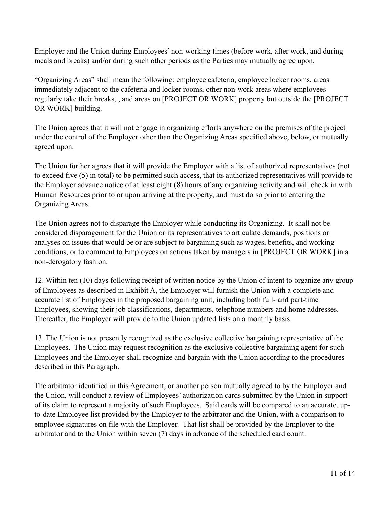Employer and the Union during Employees' non-working times (before work, after work, and during meals and breaks) and/or during such other periods as the Parties may mutually agree upon.

"Organizing Areas" shall mean the following: employee cafeteria, employee locker rooms, areas immediately adjacent to the cafeteria and locker rooms, other non-work areas where employees regularly take their breaks, , and areas on [PROJECT OR WORK] property but outside the [PROJECT OR WORK] building.

The Union agrees that it will not engage in organizing efforts anywhere on the premises of the project under the control of the Employer other than the Organizing Areas specified above, below, or mutually agreed upon.

The Union further agrees that it will provide the Employer with a list of authorized representatives (not to exceed five (5) in total) to be permitted such access, that its authorized representatives will provide to the Employer advance notice of at least eight (8) hours of any organizing activity and will check in with Human Resources prior to or upon arriving at the property, and must do so prior to entering the Organizing Areas.

The Union agrees not to disparage the Employer while conducting its Organizing. It shall not be considered disparagement for the Union or its representatives to articulate demands, positions or analyses on issues that would be or are subject to bargaining such as wages, benefits, and working conditions, or to comment to Employees on actions taken by managers in [PROJECT OR WORK] in a non-derogatory fashion.

12. Within ten (10) days following receipt of written notice by the Union of intent to organize any group of Employees as described in Exhibit A, the Employer will furnish the Union with a complete and accurate list of Employees in the proposed bargaining unit, including both full- and part-time Employees, showing their job classifications, departments, telephone numbers and home addresses. Thereafter, the Employer will provide to the Union updated lists on a monthly basis.

13. The Union is not presently recognized as the exclusive collective bargaining representative of the Employees. The Union may request recognition as the exclusive collective bargaining agent for such Employees and the Employer shall recognize and bargain with the Union according to the procedures described in this Paragraph.

The arbitrator identified in this Agreement, or another person mutually agreed to by the Employer and the Union, will conduct a review of Employees' authorization cards submitted by the Union in support of its claim to represent a majority of such Employees. Said cards will be compared to an accurate, upto-date Employee list provided by the Employer to the arbitrator and the Union, with a comparison to employee signatures on file with the Employer. That list shall be provided by the Employer to the arbitrator and to the Union within seven (7) days in advance of the scheduled card count.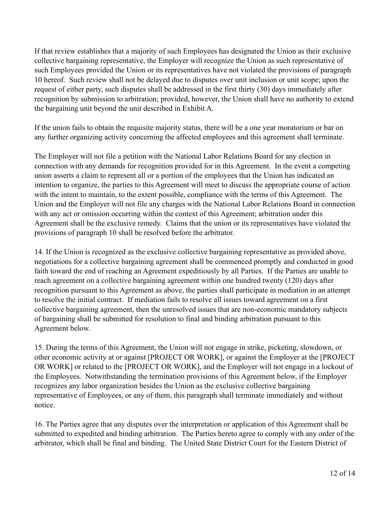If that review establishes that a majority of such Employees has designated the Union as their exclusive collective bargaining representative, the Employer will recognize the Union as such representative of such Employees provided the Union or its representatives have not violated the provisions of paragraph 10 hereof. Such review shall not be delayed due to disputes over unit inclusion or unit scope; upon the request of either party, such disputes shall be addressed in the first thirty (30) days immediately after recognition by submission to arbitration; provided, however, the Union shall have no authority to extend the bargaining unit beyond the unit described in Exhibit A.

If the union fails to obtain the requisite majority status, there will be a one year moratorium or bar on any further organizing activity concerning the affected employees and this agreement shall terminate.

The Employer will not file a petition with the National Labor Relations Board for any election in connection with any demands for recognition provided for in this Agreement. In the event a competing union asserts a claim to represent all or a portion of the employees that the Union has indicated an intention to organize, the parties to this Agreement will meet to discuss the appropriate course of action with the intent to maintain, to the extent possible, compliance with the terms of this Agreement. The Union and the Employer will not file any charges with the National Labor Relations Board in connection with any act or omission occurring within the context of this Agreement; arbitration under this Agreement shall be the exclusive remedy. Claims that the union or its representatives have violated the provisions of paragraph 10 shall be resolved before the arbitrator.

14. If the Union is recognized as the exclusive collective bargaining representative as provided above, negotiations for a collective bargaining agreement shall be commenced promptly and conducted in good faith toward the end of reaching an Agreement expeditiously by all Parties. If the Parties are unable to reach agreement on a collective bargaining agreement within one hundred twenty (120) days after recognition pursuant to this Agreement as above, the parties shall participate in mediation in an attempt to resolve the initial contract. If mediation fails to resolve all issues toward agreement on a first collective bargaining agreement, then the unresolved issues that are non-economic mandatory subjects of bargaining shall be submitted for resolution to final and binding arbitration pursuant to this Agreement below.

15. During the terms of this Agreement, the Union will not engage in strike, picketing, slowdown, or other economic activity at or against [PROJECT OR WORK], or against the Employer at the [PROJECT OR WORK] or related to the [PROJECT OR WORK], and the Employer will not engage in a lockout of the Employees. Notwithstanding the termination provisions of this Agreement below, if the Employer recognizes any labor organization besides the Union as the exclusive collective bargaining representative of Employees, or any of them, this paragraph shall terminate immediately and without notice.

16. The Parties agree that any disputes over the interpretation or application of this Agreement shall be submitted to expedited and binding arbitration. The Parties hereto agree to comply with any order of the arbitrator, which shall be final and binding. The United State District Court for the Eastern District of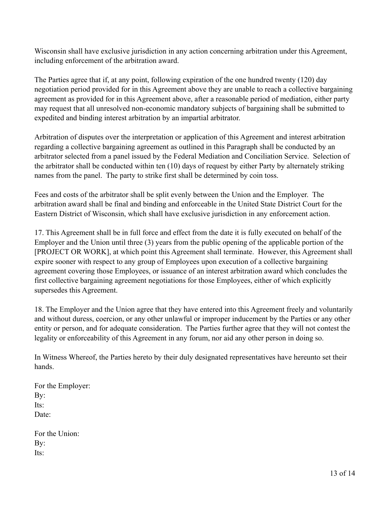Wisconsin shall have exclusive jurisdiction in any action concerning arbitration under this Agreement, including enforcement of the arbitration award.

The Parties agree that if, at any point, following expiration of the one hundred twenty (120) day negotiation period provided for in this Agreement above they are unable to reach a collective bargaining agreement as provided for in this Agreement above, after a reasonable period of mediation, either party may request that all unresolved non-economic mandatory subjects of bargaining shall be submitted to expedited and binding interest arbitration by an impartial arbitrator.

Arbitration of disputes over the interpretation or application of this Agreement and interest arbitration regarding a collective bargaining agreement as outlined in this Paragraph shall be conducted by an arbitrator selected from a panel issued by the Federal Mediation and Conciliation Service. Selection of the arbitrator shall be conducted within ten (10) days of request by either Party by alternately striking names from the panel. The party to strike first shall be determined by coin toss.

Fees and costs of the arbitrator shall be split evenly between the Union and the Employer. The arbitration award shall be final and binding and enforceable in the United State District Court for the Eastern District of Wisconsin, which shall have exclusive jurisdiction in any enforcement action.

17. This Agreement shall be in full force and effect from the date it is fully executed on behalf of the Employer and the Union until three (3) years from the public opening of the applicable portion of the [PROJECT OR WORK], at which point this Agreement shall terminate. However, this Agreement shall expire sooner with respect to any group of Employees upon execution of a collective bargaining agreement covering those Employees, or issuance of an interest arbitration award which concludes the first collective bargaining agreement negotiations for those Employees, either of which explicitly supersedes this Agreement.

18. The Employer and the Union agree that they have entered into this Agreement freely and voluntarily and without duress, coercion, or any other unlawful or improper inducement by the Parties or any other entity or person, and for adequate consideration. The Parties further agree that they will not contest the legality or enforceability of this Agreement in any forum, nor aid any other person in doing so.

In Witness Whereof, the Parties hereto by their duly designated representatives have hereunto set their hands.

For the Employer: By: Its: Date:

For the Union: By: Its: